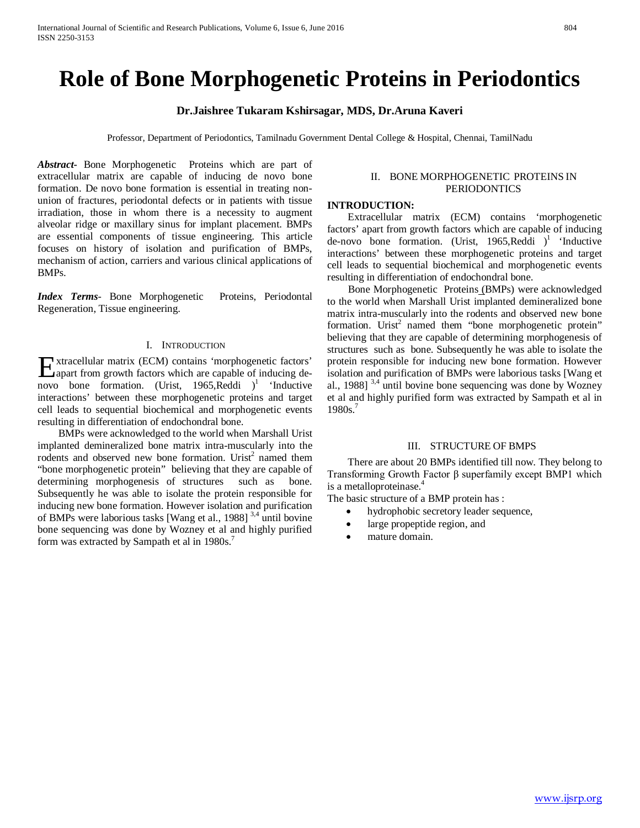# **Role of Bone Morphogenetic Proteins in Periodontics**

# **Dr.Jaishree Tukaram Kshirsagar, MDS, Dr.Aruna Kaveri**

Professor, Department of Periodontics, Tamilnadu Government Dental College & Hospital, Chennai, TamilNadu

*Abstract***-** Bone Morphogenetic Proteins which are part of extracellular matrix are capable of inducing de novo bone formation. De novo bone formation is essential in treating nonunion of fractures, periodontal defects or in patients with tissue irradiation, those in whom there is a necessity to augment alveolar ridge or maxillary sinus for implant placement. BMPs are essential components of tissue engineering. This article focuses on history of isolation and purification of BMPs, mechanism of action, carriers and various clinical applications of BMPs.

*Index Terms*- Bone Morphogenetic Proteins, Periodontal Regeneration, Tissue engineering.

# I. INTRODUCTION

xtracellular matrix (ECM) contains 'morphogenetic factors' Extracellular matrix (ECM) contains 'morphogenetic factors'<br>apart from growth factors which are capable of inducing denovo bone formation. (Urist, 1965, Reddi)<sup>1</sup> 'Inductive interactions' between these morphogenetic proteins and target cell leads to sequential biochemical and morphogenetic events resulting in differentiation of endochondral bone.

 BMPs were acknowledged to the world when Marshall Urist implanted demineralized bone matrix intra-muscularly into the rodents and observed new bone formation. Urist<sup>2</sup> named them "bone morphogenetic protein" believing that they are capable of determining morphogenesis of structures such as bone. Subsequently he was able to isolate the protein responsible for inducing new bone formation. However isolation and purification of BMPs were laborious tasks [Wang et al., 1988] 3,4 until bovine bone sequencing was done by Wozney et al and highly purified form was extracted by Sampath et al in 1980s.<sup>7</sup>

### II. BONE MORPHOGENETIC PROTEINS IN **PERIODONTICS**

# **INTRODUCTION:**

 Extracellular matrix (ECM) contains 'morphogenetic factors' apart from growth factors which are capable of inducing de-novo bone formation. (Urist, 1965, Reddi)<sup>1</sup> 'Inductive interactions' between these morphogenetic proteins and target cell leads to sequential biochemical and morphogenetic events resulting in differentiation of endochondral bone.

 Bone Morphogenetic Proteins (BMPs) were acknowledged to the world when Marshall Urist implanted demineralized bone matrix intra-muscularly into the rodents and observed new bone formation. Urist<sup>2</sup> named them "bone morphogenetic protein" believing that they are capable of determining morphogenesis of structures such as bone. Subsequently he was able to isolate the protein responsible for inducing new bone formation. However isolation and purification of BMPs were laborious tasks [Wang et al., 1988] 3,4 until bovine bone sequencing was done by Wozney et al and highly purified form was extracted by Sampath et al in 1980s.<sup>7</sup>

# III. STRUCTURE OF BMPS

 There are about 20 BMPs identified till now. They belong to Transforming Growth Factor β superfamily except BMP1 which is a metalloproteinase.<sup>4</sup>

The basic structure of a BMP protein has :

- hydrophobic secretory leader sequence,
- large propeptide region, and
- mature domain.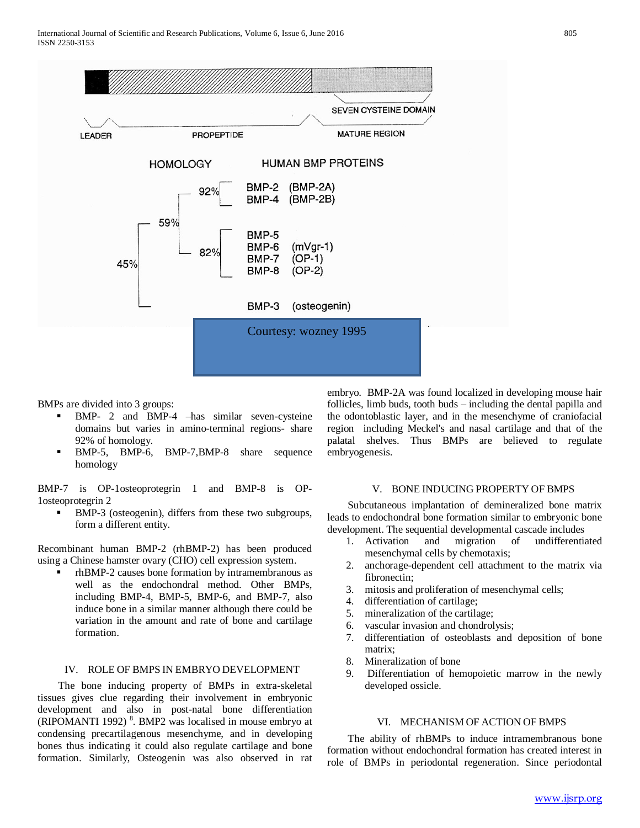

BMPs are divided into 3 groups:

- BMP- 2 and BMP-4 –has similar seven-cysteine domains but varies in amino-terminal regions- share 92% of homology.
- BMP-5, BMP-6, BMP-7, BMP-8 share sequence homology

BMP-7 is OP-1osteoprotegrin 1 and BMP-8 is OP-1osteoprotegrin 2

BMP-3 (osteogenin), differs from these two subgroups, form a different entity.

Recombinant human BMP-2 (rhBMP-2) has been produced using a Chinese hamster ovary (CHO) cell expression system.

 rhBMP-2 causes bone formation by intramembranous as well as the endochondral method. Other BMPs, including BMP-4, BMP-5, BMP-6, and BMP-7, also induce bone in a similar manner although there could be variation in the amount and rate of bone and cartilage formation.

### IV. ROLE OF BMPS IN EMBRYO DEVELOPMENT

 The bone inducing property of BMPs in extra-skeletal tissues gives clue regarding their involvement in embryonic development and also in post-natal bone differentiation  $(RIPOMANTI 1992)$ <sup>8</sup>. BMP2 was localised in mouse embryo at condensing precartilagenous mesenchyme, and in developing bones thus indicating it could also regulate cartilage and bone formation. Similarly, Osteogenin was also observed in rat

embryo. BMP-2A was found localized in developing mouse hair follicles, limb buds, tooth buds – including the dental papilla and the odontoblastic layer, and in the mesenchyme of craniofacial region including Meckel's and nasal cartilage and that of the palatal shelves. Thus BMPs are believed to regulate embryogenesis.

# V. BONE INDUCING PROPERTY OF BMPS

 Subcutaneous implantation of demineralized bone matrix leads to endochondral bone formation similar to embryonic bone development. The sequential developmental cascade includes

- 1. Activation and migration of undifferentiated mesenchymal cells by chemotaxis;
- 2. anchorage-dependent cell attachment to the matrix via fibronectin;
- 3. mitosis and proliferation of mesenchymal cells;
- 4. differentiation of cartilage;
- 5. mineralization of the cartilage;
- 6. vascular invasion and chondrolysis;
- 7. differentiation of osteoblasts and deposition of bone matrix;
- 8. Mineralization of bone
- 9. Differentiation of hemopoietic marrow in the newly developed ossicle.

### VI. MECHANISM OF ACTION OF BMPS

 The ability of rhBMPs to induce intramembranous bone formation without endochondral formation has created interest in role of BMPs in periodontal regeneration. Since periodontal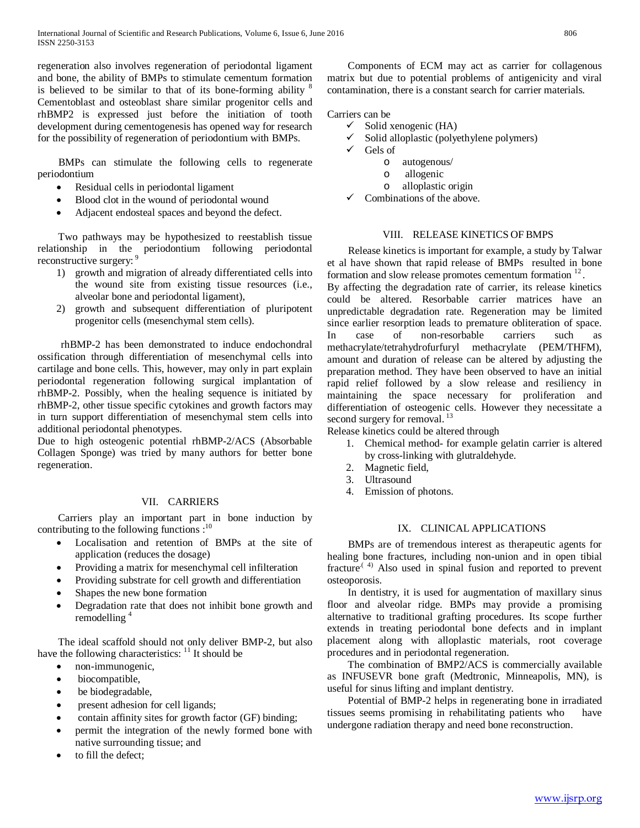regeneration also involves regeneration of periodontal ligament and bone, the ability of BMPs to stimulate cementum formation is believed to be similar to that of its bone-forming ability  $8$ Cementoblast and osteoblast share similar progenitor cells and rhBMP2 is expressed just before the initiation of tooth development during cementogenesis has opened way for research for the possibility of regeneration of periodontium with BMPs.

 BMPs can stimulate the following cells to regenerate periodontium

- Residual cells in periodontal ligament
- Blood clot in the wound of periodontal wound
- Adjacent endosteal spaces and beyond the defect.

 Two pathways may be hypothesized to reestablish tissue relationship in the periodontium following periodontal reconstructive surgery:

- 1) growth and migration of already differentiated cells into the wound site from existing tissue resources (i.e., alveolar bone and periodontal ligament),
- 2) growth and subsequent differentiation of pluripotent progenitor cells (mesenchymal stem cells).

 rhBMP-2 has been demonstrated to induce endochondral ossification through differentiation of mesenchymal cells into cartilage and bone cells. This, however, may only in part explain periodontal regeneration following surgical implantation of rhBMP-2. Possibly, when the healing sequence is initiated by rhBMP-2, other tissue specific cytokines and growth factors may in turn support differentiation of mesenchymal stem cells into additional periodontal phenotypes.

Due to high osteogenic potential rhBMP-2/ACS (Absorbable Collagen Sponge) was tried by many authors for better bone regeneration.

# VII. CARRIERS

 Carriers play an important part in bone induction by contributing to the following functions :<sup>10</sup>

- Localisation and retention of BMPs at the site of application (reduces the dosage)
- Providing a matrix for mesenchymal cell infilteration
- Providing substrate for cell growth and differentiation
- Shapes the new bone formation
- Degradation rate that does not inhibit bone growth and remodelling<sup>4</sup>

 The ideal scaffold should not only deliver BMP-2, but also have the following characteristics:  $\frac{11}{11}$  It should be

- non-immunogenic,
- biocompatible,
- be biodegradable,
- present adhesion for cell ligands;
- contain affinity sites for growth factor (GF) binding;
- permit the integration of the newly formed bone with native surrounding tissue; and
- to fill the defect;

 Components of ECM may act as carrier for collagenous matrix but due to potential problems of antigenicity and viral contamination, there is a constant search for carrier materials.

Carriers can be

- $\checkmark$  Solid xenogenic (HA)<br> $\checkmark$  Solid alloplastic (polyer
- Solid alloplastic (polyethylene polymers)
- Gels of
	- o autogenous/
		- o allogenic
	- o alloplastic origin
- $\checkmark$  Combinations of the above.

# VIII. RELEASE KINETICS OF BMPS

 Release kinetics is important for example, a study by Talwar et al have shown that rapid release of BMPs resulted in bone formation and slow release promotes cementum formation <sup>12</sup>.

By affecting the degradation rate of carrier, its release kinetics could be altered. Resorbable carrier matrices have an unpredictable degradation rate. Regeneration may be limited since earlier resorption leads to premature obliteration of space. In case of non-resorbable carriers such as methacrylate/tetrahydrofurfuryl methacrylate (PEM/THFM), amount and duration of release can be altered by adjusting the preparation method. They have been observed to have an initial rapid relief followed by a slow release and resiliency in maintaining the space necessary for proliferation and differentiation of osteogenic cells. However they necessitate a second surgery for removal.<sup>13</sup>

Release kinetics could be altered through

- 1. Chemical method- for example gelatin carrier is altered by cross-linking with glutraldehyde.
- 2. Magnetic field,
- 3. Ultrasound
- 4. Emission of photons.

# IX. CLINICAL APPLICATIONS

 BMPs are of tremendous interest as therapeutic agents for healing bone fractures, including non-union and in open tibial fracture<sup> $(4)$ </sup> Also used in spinal fusion and reported to prevent osteoporosis.

 In dentistry, it is used for augmentation of maxillary sinus floor and alveolar ridge. BMPs may provide a promising alternative to traditional grafting procedures. Its scope further extends in treating periodontal bone defects and in implant placement along with alloplastic materials, root coverage procedures and in periodontal regeneration.

 The combination of BMP2/ACS is commercially available as INFUSEVR bone graft (Medtronic, Minneapolis, MN), is useful for sinus lifting and implant dentistry.

 Potential of BMP-2 helps in regenerating bone in irradiated tissues seems promising in rehabilitating patients who have undergone radiation therapy and need bone reconstruction.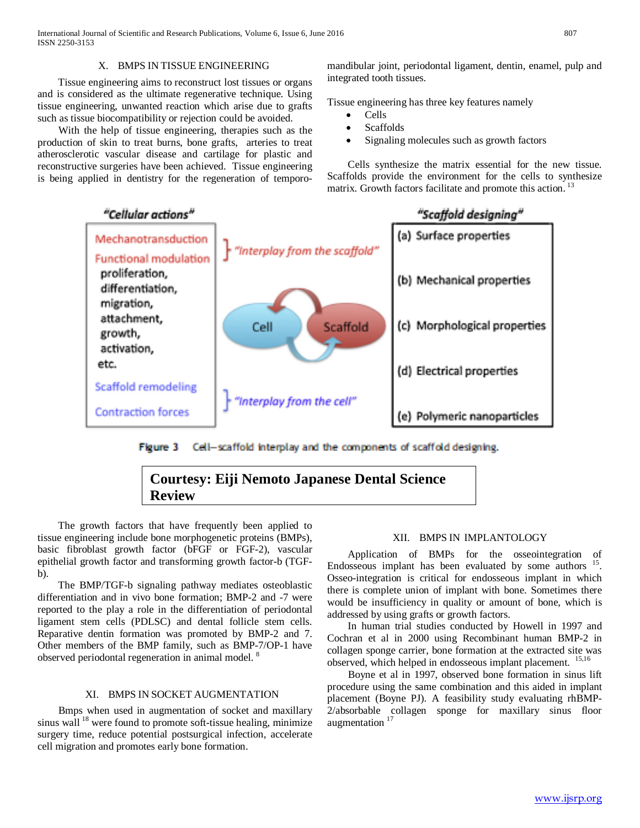# X. BMPS IN TISSUE ENGINEERING

 Tissue engineering aims to reconstruct lost tissues or organs and is considered as the ultimate regenerative technique. Using tissue engineering, unwanted reaction which arise due to grafts such as tissue biocompatibility or rejection could be avoided.

 With the help of tissue engineering, therapies such as the production of skin to treat burns, bone grafts, arteries to treat atherosclerotic vascular disease and cartilage for plastic and reconstructive surgeries have been achieved. Tissue engineering is being applied in dentistry for the regeneration of temporomandibular joint, periodontal ligament, dentin, enamel, pulp and integrated tooth tissues.

Tissue engineering has three key features namely

- Cells **Scaffolds**
- Signaling molecules such as growth factors

 Cells synthesize the matrix essential for the new tissue. Scaffolds provide the environment for the cells to synthesize matrix. Growth factors facilitate and promote this action.<sup>13</sup>



Figure 3 Cell-scaffold interplay and the components of scaffold designing.

# **Courtesy: Eiji Nemoto Japanese Dental Science Review**

 The growth factors that have frequently been applied to tissue engineering include bone morphogenetic proteins (BMPs), basic fibroblast growth factor (bFGF or FGF-2), vascular epithelial growth factor and transforming growth factor-b (TGFb).

 The BMP/TGF-b signaling pathway mediates osteoblastic differentiation and in vivo bone formation; BMP-2 and -7 were reported to the play a role in the differentiation of periodontal ligament stem cells (PDLSC) and dental follicle stem cells. Reparative dentin formation was promoted by BMP-2 and 7. Other members of the BMP family, such as BMP-7/OP-1 have observed periodontal regeneration in animal model. 8

### XI. BMPS IN SOCKET AUGMENTATION

 Bmps when used in augmentation of socket and maxillary sinus wall  $^{18}$  were found to promote soft-tissue healing, minimize surgery time, reduce potential postsurgical infection, accelerate cell migration and promotes early bone formation.

# XII. BMPS IN IMPLANTOLOGY

 Application of BMPs for the osseointegration of Endosseous implant has been evaluated by some authors  $15$ . Osseo-integration is critical for endosseous implant in which there is complete union of implant with bone. Sometimes there would be insufficiency in quality or amount of bone, which is addressed by using grafts or growth factors.

 In human trial studies conducted by Howell in 1997 and Cochran et al in 2000 using Recombinant human BMP-2 in collagen sponge carrier, bone formation at the extracted site was observed, which helped in endosseous implant placement. <sup>15,16</sup>

 Boyne et al in 1997, observed bone formation in sinus lift procedure using the same combination and this aided in implant placement (Boyne PJ). A feasibility study evaluating rhBMP-2/absorbable collagen sponge for maxillary sinus floor augmentation<sup>17</sup>